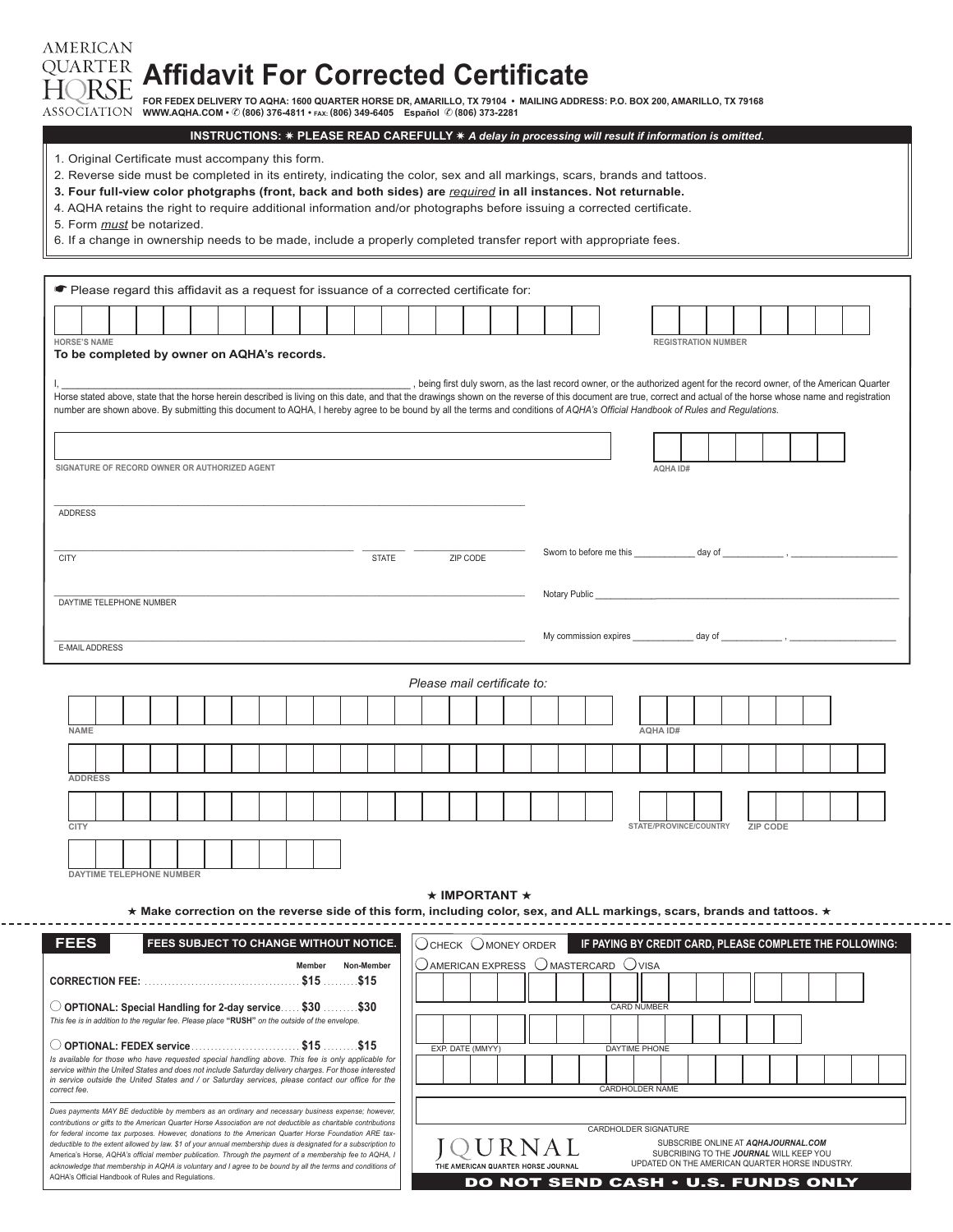**AMERICAN Affidavit For Corrected Certificate**

FOR FEDEX DELIVERY TO AQHA: 1600 QUARTER HORSE DR, AMARILLO, TX 79104 ∙ MAILING ADDRESS: P.O. BOX 200, AMARILLO, TX 79168<br>WWW.AQHA.COM • © (806) 376-4811 • rax: (806) 349-6405 Español © (806) 373-2281

| INSTRUCTIONS: * PLEASE READ CAREFULLY * A delay in processing will result if information is omitted.                      |
|---------------------------------------------------------------------------------------------------------------------------|
| 1. Original Certificate must accompany this form.                                                                         |
| 2. Reverse side must be completed in its entirety, indicating the color, sex and all markings, scars, brands and tattoos. |
| 3. Four full-view color photgraphs (front, back and both sides) are required in all instances. Not returnable.            |
| 4. AQHA retains the right to require additional information and/or photographs before issuing a corrected certificate.    |
| 5. Form <i>must</i> be notarized.                                                                                         |
| 6. If a change in ownership needs to be made, include a properly completed transfer report with appropriate fees.         |
|                                                                                                                           |
| • Please regard this affidavit as a request for issuance of a corrected certificate for:                                  |
|                                                                                                                           |

| <b>HORSE'S NAME</b><br><b>REGISTRATION NUMBER</b><br>To be completed by owner on AQHA's records.                             |                                                                                                                                                                                                                                                                                                                                                  |  |  |  |  |  |  |  |  |  |  |  |                             |  |  |  |  |  |  |                 |                        |  |  |                 |  |  |  |
|------------------------------------------------------------------------------------------------------------------------------|--------------------------------------------------------------------------------------------------------------------------------------------------------------------------------------------------------------------------------------------------------------------------------------------------------------------------------------------------|--|--|--|--|--|--|--|--|--|--|--|-----------------------------|--|--|--|--|--|--|-----------------|------------------------|--|--|-----------------|--|--|--|
|                                                                                                                              |                                                                                                                                                                                                                                                                                                                                                  |  |  |  |  |  |  |  |  |  |  |  |                             |  |  |  |  |  |  |                 |                        |  |  |                 |  |  |  |
|                                                                                                                              |                                                                                                                                                                                                                                                                                                                                                  |  |  |  |  |  |  |  |  |  |  |  |                             |  |  |  |  |  |  |                 |                        |  |  |                 |  |  |  |
|                                                                                                                              | , being first duly sworn, as the last record owner, or the authorized agent for the record owner, of the American Quarter<br>Horse stated above, state that the horse herein described is living on this date, and that the drawings shown on the reverse of this document are true, correct and actual of the horse whose name and registration |  |  |  |  |  |  |  |  |  |  |  |                             |  |  |  |  |  |  |                 |                        |  |  |                 |  |  |  |
|                                                                                                                              | number are shown above. By submitting this document to AQHA, I hereby agree to be bound by all the terms and conditions of AQHA's Official Handbook of Rules and Regulations.                                                                                                                                                                    |  |  |  |  |  |  |  |  |  |  |  |                             |  |  |  |  |  |  |                 |                        |  |  |                 |  |  |  |
|                                                                                                                              |                                                                                                                                                                                                                                                                                                                                                  |  |  |  |  |  |  |  |  |  |  |  |                             |  |  |  |  |  |  |                 |                        |  |  |                 |  |  |  |
|                                                                                                                              |                                                                                                                                                                                                                                                                                                                                                  |  |  |  |  |  |  |  |  |  |  |  |                             |  |  |  |  |  |  |                 |                        |  |  |                 |  |  |  |
|                                                                                                                              | SIGNATURE OF RECORD OWNER OR AUTHORIZED AGENT<br>AQHA ID#                                                                                                                                                                                                                                                                                        |  |  |  |  |  |  |  |  |  |  |  |                             |  |  |  |  |  |  |                 |                        |  |  |                 |  |  |  |
|                                                                                                                              |                                                                                                                                                                                                                                                                                                                                                  |  |  |  |  |  |  |  |  |  |  |  |                             |  |  |  |  |  |  |                 |                        |  |  |                 |  |  |  |
|                                                                                                                              | <b>ADDRESS</b>                                                                                                                                                                                                                                                                                                                                   |  |  |  |  |  |  |  |  |  |  |  |                             |  |  |  |  |  |  |                 |                        |  |  |                 |  |  |  |
|                                                                                                                              |                                                                                                                                                                                                                                                                                                                                                  |  |  |  |  |  |  |  |  |  |  |  |                             |  |  |  |  |  |  |                 |                        |  |  |                 |  |  |  |
| Sworn to before me this _______________ day of __________________________________<br>ZIP CODE<br><b>CITY</b><br><b>STATE</b> |                                                                                                                                                                                                                                                                                                                                                  |  |  |  |  |  |  |  |  |  |  |  |                             |  |  |  |  |  |  |                 |                        |  |  |                 |  |  |  |
|                                                                                                                              |                                                                                                                                                                                                                                                                                                                                                  |  |  |  |  |  |  |  |  |  |  |  |                             |  |  |  |  |  |  |                 |                        |  |  |                 |  |  |  |
|                                                                                                                              | Notary Public North Contract to the Second Second Second Second Second Second Second Second Second Second Second Second Second Second Second Second Second Second Second Second Second Second Second Second Second Second Seco                                                                                                                   |  |  |  |  |  |  |  |  |  |  |  |                             |  |  |  |  |  |  |                 |                        |  |  |                 |  |  |  |
|                                                                                                                              | DAYTIME TELEPHONE NUMBER                                                                                                                                                                                                                                                                                                                         |  |  |  |  |  |  |  |  |  |  |  |                             |  |  |  |  |  |  |                 |                        |  |  |                 |  |  |  |
|                                                                                                                              |                                                                                                                                                                                                                                                                                                                                                  |  |  |  |  |  |  |  |  |  |  |  |                             |  |  |  |  |  |  |                 |                        |  |  |                 |  |  |  |
|                                                                                                                              | E-MAIL ADDRESS                                                                                                                                                                                                                                                                                                                                   |  |  |  |  |  |  |  |  |  |  |  |                             |  |  |  |  |  |  |                 |                        |  |  |                 |  |  |  |
|                                                                                                                              |                                                                                                                                                                                                                                                                                                                                                  |  |  |  |  |  |  |  |  |  |  |  |                             |  |  |  |  |  |  |                 |                        |  |  |                 |  |  |  |
|                                                                                                                              |                                                                                                                                                                                                                                                                                                                                                  |  |  |  |  |  |  |  |  |  |  |  | Please mail certificate to: |  |  |  |  |  |  |                 |                        |  |  |                 |  |  |  |
|                                                                                                                              |                                                                                                                                                                                                                                                                                                                                                  |  |  |  |  |  |  |  |  |  |  |  |                             |  |  |  |  |  |  |                 |                        |  |  |                 |  |  |  |
|                                                                                                                              | <b>NAME</b>                                                                                                                                                                                                                                                                                                                                      |  |  |  |  |  |  |  |  |  |  |  |                             |  |  |  |  |  |  | <b>AQHA ID#</b> |                        |  |  |                 |  |  |  |
|                                                                                                                              |                                                                                                                                                                                                                                                                                                                                                  |  |  |  |  |  |  |  |  |  |  |  |                             |  |  |  |  |  |  |                 |                        |  |  |                 |  |  |  |
|                                                                                                                              |                                                                                                                                                                                                                                                                                                                                                  |  |  |  |  |  |  |  |  |  |  |  |                             |  |  |  |  |  |  |                 |                        |  |  |                 |  |  |  |
|                                                                                                                              | <b>ADDRESS</b>                                                                                                                                                                                                                                                                                                                                   |  |  |  |  |  |  |  |  |  |  |  |                             |  |  |  |  |  |  |                 |                        |  |  |                 |  |  |  |
|                                                                                                                              |                                                                                                                                                                                                                                                                                                                                                  |  |  |  |  |  |  |  |  |  |  |  |                             |  |  |  |  |  |  |                 |                        |  |  |                 |  |  |  |
|                                                                                                                              |                                                                                                                                                                                                                                                                                                                                                  |  |  |  |  |  |  |  |  |  |  |  |                             |  |  |  |  |  |  |                 |                        |  |  |                 |  |  |  |
|                                                                                                                              | <b>CITY</b>                                                                                                                                                                                                                                                                                                                                      |  |  |  |  |  |  |  |  |  |  |  |                             |  |  |  |  |  |  |                 | STATE/PROVINCE/COUNTRY |  |  | <b>ZIP CODE</b> |  |  |  |
|                                                                                                                              |                                                                                                                                                                                                                                                                                                                                                  |  |  |  |  |  |  |  |  |  |  |  |                             |  |  |  |  |  |  |                 |                        |  |  |                 |  |  |  |

**DAYTIME TELEPHONE NUMBER**

★ **IMPORTANT** ★

★ **Make correction on the reverse side of this form, including color, sex, and ALL markings, scars, brands and tattoos.** ★

| <b>FEES</b><br>FEES SUBJECT TO CHANGE WITHOUT NOTICE.                                                                                                                                                                                                                                                                                     | OCHECK OMONEY ORDER<br>IF PAYING BY CREDIT CARD, PLEASE COMPLETE THE FOLLOWING:                                                                                                   |  |  |  |  |  |  |  |  |  |  |  |  |  |  |
|-------------------------------------------------------------------------------------------------------------------------------------------------------------------------------------------------------------------------------------------------------------------------------------------------------------------------------------------|-----------------------------------------------------------------------------------------------------------------------------------------------------------------------------------|--|--|--|--|--|--|--|--|--|--|--|--|--|--|
| Non-Member<br>Member                                                                                                                                                                                                                                                                                                                      | $\bigcirc$ AMERICAN EXPRESS $\bigcirc$ MASTERCARD $\bigcirc$ VISA                                                                                                                 |  |  |  |  |  |  |  |  |  |  |  |  |  |  |
|                                                                                                                                                                                                                                                                                                                                           |                                                                                                                                                                                   |  |  |  |  |  |  |  |  |  |  |  |  |  |  |
| $\circlearrowright$ OPTIONAL: Special Handling for 2-day service \$30  \$30                                                                                                                                                                                                                                                               | <b>CARD NUMBER</b>                                                                                                                                                                |  |  |  |  |  |  |  |  |  |  |  |  |  |  |
| This fee is in addition to the regular fee. Please place "RUSH" on the outside of the envelope.                                                                                                                                                                                                                                           |                                                                                                                                                                                   |  |  |  |  |  |  |  |  |  |  |  |  |  |  |
|                                                                                                                                                                                                                                                                                                                                           | EXP. DATE (MMYY)<br>DAYTIME PHONE                                                                                                                                                 |  |  |  |  |  |  |  |  |  |  |  |  |  |  |
| Is available for those who have requested special handling above. This fee is only applicable for<br>service within the United States and does not include Saturday delivery charges. For those interested                                                                                                                                |                                                                                                                                                                                   |  |  |  |  |  |  |  |  |  |  |  |  |  |  |
| in service outside the United States and / or Saturday services, please contact our office for the<br>correct fee.                                                                                                                                                                                                                        | CARDHOLDER NAME                                                                                                                                                                   |  |  |  |  |  |  |  |  |  |  |  |  |  |  |
| Dues payments MAY BE deductible by members as an ordinary and necessary business expense; however,                                                                                                                                                                                                                                        |                                                                                                                                                                                   |  |  |  |  |  |  |  |  |  |  |  |  |  |  |
| contributions or gifts to the American Quarter Horse Association are not deductible as charitable contributions<br>for federal income tax purposes. However, donations to the American Quarter Horse Foundation ARE tax-                                                                                                                  | CARDHOLDER SIGNATURE                                                                                                                                                              |  |  |  |  |  |  |  |  |  |  |  |  |  |  |
| deductible to the extent allowed by law. \$1 of your annual membership dues is designated for a subscription to<br>America's Horse, AQHA's official member publication. Through the payment of a membership fee to AQHA, I<br>acknowledge that membership in AQHA is voluntary and I agree to be bound by all the terms and conditions of | SUBSCRIBE ONLINE AT AQHAJOURNAL.COM<br>OURNAL<br>SUBCRIBING TO THE JOURNAL WILL KEEP YOU<br>UPDATED ON THE AMERICAN QUARTER HORSE INDUSTRY.<br>THE AMERICAN QUARTER HORSE JOURNAL |  |  |  |  |  |  |  |  |  |  |  |  |  |  |
| AQHA's Official Handbook of Rules and Regulations.                                                                                                                                                                                                                                                                                        | <b>DO NOT SEND CASH . U.S. FUNDS ONLY</b>                                                                                                                                         |  |  |  |  |  |  |  |  |  |  |  |  |  |  |